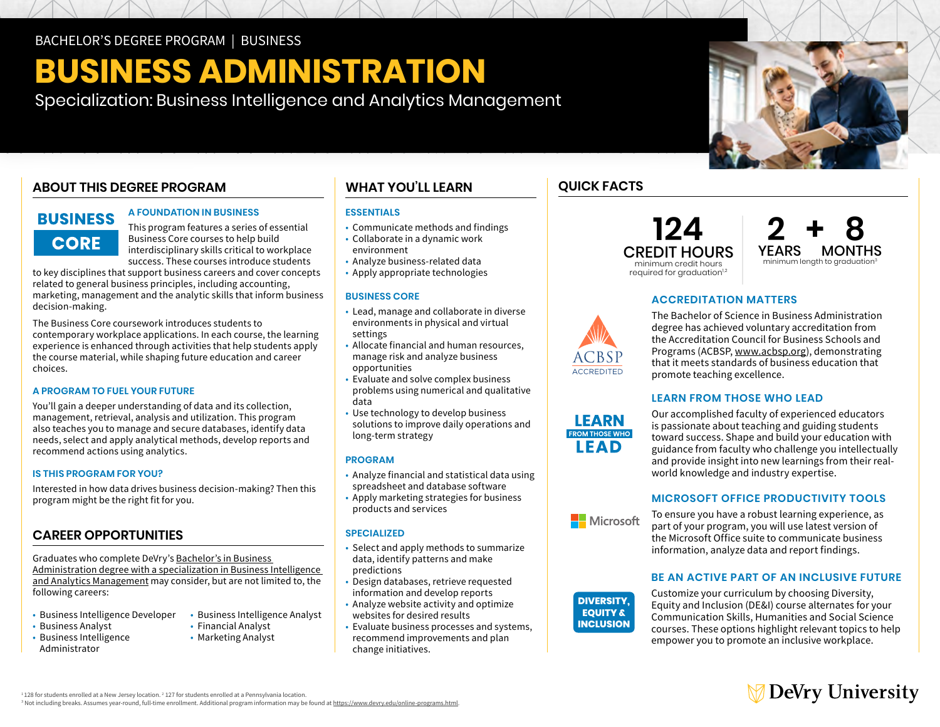# **BUSINESS ADMINISTRATION**

Specialization: Business Intelligence and Analytics Management

#### **A FOUNDATION IN BUSINESS**

This program features a series of essential Business Core courses to help build interdisciplinary skills critical to workplace success. These courses introduce students

to key disciplines that support business careers and cover concepts related to general business principles, including accounting, marketing, management and the analytic skills that inform business decision-making.

change initiatives. **ABOUT THIS DEGREE PROGRAM**  The Business Core coursework introduces students to contemporary workplace applications. In each course, the learning experience is enhanced through activities that help students apply the course material, while shaping future education and career choices.

#### **A PROGRAM TO FUEL YOUR FUTURE**

You'll gain a deeper understanding of data and its collection, management, retrieval, analysis and utilization. This program also teaches you to manage and secure databases, identify data needs, select and apply analytical methods, develop reports and recommend actions using analytics.

#### **IS THIS PROGRAM FOR YOU?**

Interested in how data drives business decision-making? Then this program might be the right fit for you.

### **CAREER OPPORTUNITIES**

Graduates who complete DeVry's [Bachelor's in Business](https://www.devry.edu/online-programs/bachelors-degrees/business/business-intelligence-and-analytics-management-specialization.html)  [Administration degree with a specialization in Business Intelligence](https://www.devry.edu/online-programs/bachelors-degrees/business/business-intelligence-and-analytics-management-specialization.html)  [and Analytics Management](https://www.devry.edu/online-programs/bachelors-degrees/business/business-intelligence-and-analytics-management-specialization.html) may consider, but are not limited to, the following careers:

- Business Intelligence Developer
- • Business Analyst • Business Intelligence

Administrator

- Business Intelligence Analyst • Financial Analyst
	- Marketing Analyst

### **WHAT YOU'LL LEARN**

#### **ESSENTIALS**

- Communicate methods and findings
- • Collaborate in a dynamic work environment
- Analyze business-related data
- Apply appropriate technologies

#### **BUSINESS CORE**

- • Lead, manage and collaborate in diverse environments in physical and virtual settings
- • Allocate financial and human resources, opportunities manage risk and analyze business
- opportunities Evaluate and solve complex business problems using numerical and qualitative data
- • Use technology to develop business solutions to improve daily operations and long-term strategy

#### **PROGRAM**

- • Analyze financial and statistical data using spreadsheet and database software
- • Apply marketing strategies for business products and services

#### **SPECIALIZED**

- • Select and apply methods to summarize data, identify patterns and make predictions
- • Design databases, retrieve requested information and develop reports
- • Analyze website activity and optimize websites for desired results
- • Evaluate business processes and systems, change initiatives. recommend improvements and plan

### **QUICK FACTS**

**124**  CREDIT HOURS minimum credit hours required for graduation<sup>1,2</sup>

**2 + 8** YEARS MONTHS minimum length to graduation<sup>3</sup>

#### **ACCREDITATION MATTERS**



LEARN **ROM THOSE WHO I EAD** 

The Bachelor of Science in Business Administration degree has achieved voluntary accreditation from the Accreditation Council for Business Schools and Programs (ACBSP, [www.acbsp.org](http://www.acbsp.org)), demonstrating that it meets standards of business education that promote teaching excellence.

#### **LEARN FROM THOSE WHO LEAD**

Our accomplished faculty of experienced educators is passionate about teaching and guiding students toward success. Shape and build your education with guidance from faculty who challenge you intellectually and provide insight into new learnings from their realworld knowledge and industry expertise.

#### **MICROSOFT OFFICE PRODUCTIVITY TOOLS**



**DIVERSITY,** the Microsoft Office suite to communicate business **EQUITY &** information, analyze data and report findings. To ensure you have a robust learning experience, as part of your program, you will use latest version of

#### **BE AN ACTIVE PART OF AN INCLUSIVE FUTURE**



Customize your curriculum by choosing Diversity, Equity and Inclusion (DE&I) course alternates for your Communication Skills, Humanities and Social Science courses. These options highlight relevant topics to help empower you to promote an inclusive workplace.



 $1128$  for students enrolled at a New Jersey location.  $2127$  for students enrolled at a Pennsylvania location.

<sup>3</sup> Not including breaks. Assumes year-round, full-time enrollment. Additional program information may be found at <u>https://www.devry.edu/online-programs.html</u>.